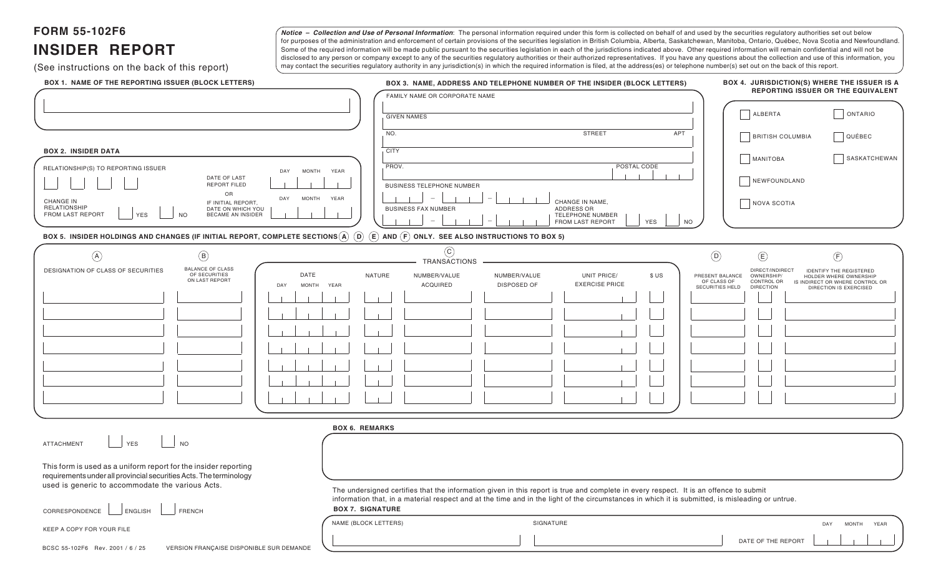**FORM 55-102F6**

# **INSIDER REPORT**

(See instructions on the back of this report)

Notice - Collection and Use of Personal Information: The personal information required under this form is collected on behalf of and used by the securities regulatory authorities set out below for purposes of the administration and enforcement of certain provisions of the securities legislation in British Columbia, Alberta, Saskatchewan, Manitoba, Ontario, Québec, Nova Scotia and Newfoundland. Some of the required information will be made public pursuant to the securities legislation in each of the jurisdictions indicated above. Other required information will remain confidential and will not be disclosed to any person or company except to any of the securities regulatory authorities or their authorized representatives. If you have any questions about the collection and use of this information, you may contact the securities regulatory authority in any jurisdiction(s) in which the required information is filed, at the address(es) or telephone number(s) set out on the back of this report.

| BOX 1. NAME OF THE REPORTING ISSUER (BLOCK LETTERS)                                                                                                                         | BOX 3. NAME, ADDRESS AND TELEPHONE NUMBER OF THE INSIDER (BLOCK LETTERS)                                                                                                                                                                                                                  | BOX 4. JURISDICTION(S) WHERE THE ISSUER IS A                                                                                              |
|-----------------------------------------------------------------------------------------------------------------------------------------------------------------------------|-------------------------------------------------------------------------------------------------------------------------------------------------------------------------------------------------------------------------------------------------------------------------------------------|-------------------------------------------------------------------------------------------------------------------------------------------|
|                                                                                                                                                                             | FAMILY NAME OR CORPORATE NAME                                                                                                                                                                                                                                                             | REPORTING ISSUER OR THE EQUIVALENT                                                                                                        |
|                                                                                                                                                                             | <b>GIVEN NAMES</b>                                                                                                                                                                                                                                                                        | ALBERTA<br>ONTARIO                                                                                                                        |
|                                                                                                                                                                             | <b>STREET</b><br>APT<br>NO.                                                                                                                                                                                                                                                               |                                                                                                                                           |
|                                                                                                                                                                             |                                                                                                                                                                                                                                                                                           | <b>BRITISH COLUMBIA</b><br>$\Box$ QUÉBEC                                                                                                  |
| <b>BOX 2. INSIDER DATA</b>                                                                                                                                                  | <b>CITY</b>                                                                                                                                                                                                                                                                               | SASKATCHEWAN<br><b>MANITOBA</b>                                                                                                           |
| RELATIONSHIP(S) TO REPORTING ISSUER<br><b>MONTH</b><br>YEAR<br>DAY<br>DATE OF LAST                                                                                          | PROV.<br>POSTAL CODE                                                                                                                                                                                                                                                                      |                                                                                                                                           |
| <b>REPORT FILED</b>                                                                                                                                                         | <b>BUSINESS TELEPHONE NUMBER</b>                                                                                                                                                                                                                                                          | NEWFOUNDLAND                                                                                                                              |
| OR<br><b>MONTH</b><br>YEAR<br>DAY<br><b>CHANGE IN</b><br>IF INITIAL REPORT,                                                                                                 | CHANGE IN NAME,                                                                                                                                                                                                                                                                           | NOVA SCOTIA                                                                                                                               |
| <b>RELATIONSHIP</b><br>DATE ON WHICH YOU<br>FROM LAST REPORT<br><b>YES</b><br><b>BECAME AN INSIDER</b><br><b>NO</b>                                                         | ADDRESS OR<br><b>BUSINESS FAX NUMBER</b><br>TELEPHONE NUMBER<br>FROM LAST REPORT<br><b>YES</b><br><b>NO</b>                                                                                                                                                                               |                                                                                                                                           |
| BOX 5. INSIDER HOLDINGS AND CHANGES (IF INITIAL REPORT, COMPLETE SECTIONS $\widehat{A}$ $\widehat{D}$ $\widehat{E}$ and $\widehat{F}$ only. See also instructions to box 5) |                                                                                                                                                                                                                                                                                           |                                                                                                                                           |
|                                                                                                                                                                             | $\odot$                                                                                                                                                                                                                                                                                   |                                                                                                                                           |
| $\left(\mathsf{B}\right)$<br>$\mathcal{A}$                                                                                                                                  | TRANSACTIONS                                                                                                                                                                                                                                                                              | $\circled{D}$<br>$\bigoplus$<br>$\bigoplus$                                                                                               |
| <b>BALANCE OF CLASS</b><br>DESIGNATION OF CLASS OF SECURITIES<br>OF SECURITIES<br>DATE<br>ON LAST REPORT                                                                    | NATURE<br>UNIT PRICE/<br>NUMBER/VALUE<br>NUMBER/VALUE<br>\$US                                                                                                                                                                                                                             | DIRECT/INDIRECT<br><b>IDENTIFY THE REGISTERED</b><br>PRESENT BALANCE<br>OWNERSHIP/<br>HOLDER WHERE OWNERSHIP<br>OF CLASS OF<br>CONTROL OR |
| DAY<br><b>MONTH</b><br>YEAR                                                                                                                                                 | <b>EXERCISE PRICE</b><br><b>ACQUIRED</b><br>DISPOSED OF                                                                                                                                                                                                                                   | IS INDIRECT OR WHERE CONTROL OR<br>SECURITIES HELD<br><b>DIRECTION</b><br>DIRECTION IS EXERCISED                                          |
|                                                                                                                                                                             |                                                                                                                                                                                                                                                                                           |                                                                                                                                           |
|                                                                                                                                                                             |                                                                                                                                                                                                                                                                                           |                                                                                                                                           |
|                                                                                                                                                                             |                                                                                                                                                                                                                                                                                           |                                                                                                                                           |
|                                                                                                                                                                             |                                                                                                                                                                                                                                                                                           |                                                                                                                                           |
|                                                                                                                                                                             |                                                                                                                                                                                                                                                                                           |                                                                                                                                           |
|                                                                                                                                                                             |                                                                                                                                                                                                                                                                                           |                                                                                                                                           |
|                                                                                                                                                                             |                                                                                                                                                                                                                                                                                           |                                                                                                                                           |
|                                                                                                                                                                             |                                                                                                                                                                                                                                                                                           |                                                                                                                                           |
| <b>BOX 6. REMARKS</b>                                                                                                                                                       |                                                                                                                                                                                                                                                                                           |                                                                                                                                           |
| <b>NO</b><br><b>YES</b><br><b>ATTACHMENT</b>                                                                                                                                |                                                                                                                                                                                                                                                                                           |                                                                                                                                           |
|                                                                                                                                                                             |                                                                                                                                                                                                                                                                                           |                                                                                                                                           |
| This form is used as a uniform report for the insider reporting                                                                                                             |                                                                                                                                                                                                                                                                                           |                                                                                                                                           |
| requirements under all provincial securities Acts. The terminology<br>used is generic to accommodate the various Acts.                                                      |                                                                                                                                                                                                                                                                                           |                                                                                                                                           |
|                                                                                                                                                                             | The undersigned certifies that the information given in this report is true and complete in every respect. It is an offence to submit<br>information that, in a material respect and at the time and in the light of the circumstances in which it is submitted, is misleading or untrue. |                                                                                                                                           |
| FRENCH<br>CORRESPONDENCE<br>ENGLISH                                                                                                                                         | <b>BOX 7. SIGNATURE</b>                                                                                                                                                                                                                                                                   |                                                                                                                                           |
| KEEP A COPY FOR YOUR FILE                                                                                                                                                   | NAME (BLOCK LETTERS)<br>SIGNATURE                                                                                                                                                                                                                                                         | <b>MONTH</b><br>DAY<br>YEAR                                                                                                               |
| BCSC 55-102F6 Rev. 2001 / 6 / 25<br>VERSION FRANÇAISE DISPONIBLE SUR DEMANDE                                                                                                |                                                                                                                                                                                                                                                                                           | DATE OF THE REPORT                                                                                                                        |
|                                                                                                                                                                             |                                                                                                                                                                                                                                                                                           |                                                                                                                                           |